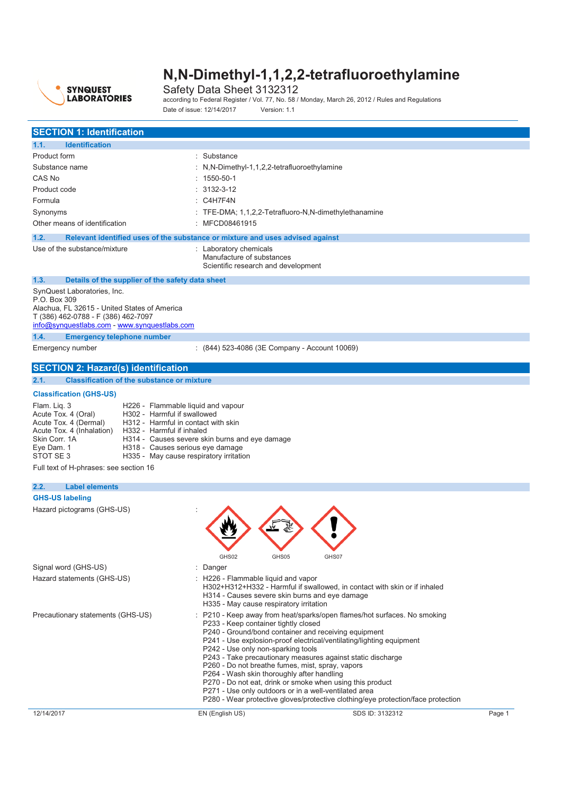

Safety Data Sheet 3132312 according to Federal Register / Vol. 77, No. 58 / Monday, March 26, 2012 / Rules and Regulations Date of issue: 12/14/2017 Version: 1.1

| <b>SECTION 1: Identification</b>                                                                                                                                                                                           |                                                                                                                                                                                                                                                                                                                                                                                                                                                                                                                                                                                                                                                                 |        |
|----------------------------------------------------------------------------------------------------------------------------------------------------------------------------------------------------------------------------|-----------------------------------------------------------------------------------------------------------------------------------------------------------------------------------------------------------------------------------------------------------------------------------------------------------------------------------------------------------------------------------------------------------------------------------------------------------------------------------------------------------------------------------------------------------------------------------------------------------------------------------------------------------------|--------|
| <b>Identification</b><br>1.1.                                                                                                                                                                                              |                                                                                                                                                                                                                                                                                                                                                                                                                                                                                                                                                                                                                                                                 |        |
| Product form                                                                                                                                                                                                               | : Substance                                                                                                                                                                                                                                                                                                                                                                                                                                                                                                                                                                                                                                                     |        |
| Substance name                                                                                                                                                                                                             | : N,N-Dimethyl-1,1,2,2-tetrafluoroethylamine                                                                                                                                                                                                                                                                                                                                                                                                                                                                                                                                                                                                                    |        |
| CAS No                                                                                                                                                                                                                     | $: 1550 - 50 - 1$                                                                                                                                                                                                                                                                                                                                                                                                                                                                                                                                                                                                                                               |        |
| Product code                                                                                                                                                                                                               | 3132-3-12                                                                                                                                                                                                                                                                                                                                                                                                                                                                                                                                                                                                                                                       |        |
| Formula                                                                                                                                                                                                                    | : C4H7F4N                                                                                                                                                                                                                                                                                                                                                                                                                                                                                                                                                                                                                                                       |        |
| Synonyms                                                                                                                                                                                                                   | : TFE-DMA; 1,1,2,2-Tetrafluoro-N,N-dimethylethanamine                                                                                                                                                                                                                                                                                                                                                                                                                                                                                                                                                                                                           |        |
| Other means of identification                                                                                                                                                                                              | : MFCD08461915                                                                                                                                                                                                                                                                                                                                                                                                                                                                                                                                                                                                                                                  |        |
|                                                                                                                                                                                                                            |                                                                                                                                                                                                                                                                                                                                                                                                                                                                                                                                                                                                                                                                 |        |
| 1.2.                                                                                                                                                                                                                       | Relevant identified uses of the substance or mixture and uses advised against                                                                                                                                                                                                                                                                                                                                                                                                                                                                                                                                                                                   |        |
| Use of the substance/mixture                                                                                                                                                                                               | : Laboratory chemicals<br>Manufacture of substances<br>Scientific research and development                                                                                                                                                                                                                                                                                                                                                                                                                                                                                                                                                                      |        |
| 1.3.<br>Details of the supplier of the safety data sheet                                                                                                                                                                   |                                                                                                                                                                                                                                                                                                                                                                                                                                                                                                                                                                                                                                                                 |        |
| SynQuest Laboratories, Inc.                                                                                                                                                                                                |                                                                                                                                                                                                                                                                                                                                                                                                                                                                                                                                                                                                                                                                 |        |
| P.O. Box 309                                                                                                                                                                                                               |                                                                                                                                                                                                                                                                                                                                                                                                                                                                                                                                                                                                                                                                 |        |
| Alachua, FL 32615 - United States of America                                                                                                                                                                               |                                                                                                                                                                                                                                                                                                                                                                                                                                                                                                                                                                                                                                                                 |        |
| T (386) 462-0788 - F (386) 462-7097<br>info@synquestlabs.com - www.synquestlabs.com                                                                                                                                        |                                                                                                                                                                                                                                                                                                                                                                                                                                                                                                                                                                                                                                                                 |        |
| <b>Emergency telephone number</b><br>1.4.                                                                                                                                                                                  |                                                                                                                                                                                                                                                                                                                                                                                                                                                                                                                                                                                                                                                                 |        |
| Emergency number                                                                                                                                                                                                           | $(844)$ 523-4086 (3E Company - Account 10069)                                                                                                                                                                                                                                                                                                                                                                                                                                                                                                                                                                                                                   |        |
|                                                                                                                                                                                                                            |                                                                                                                                                                                                                                                                                                                                                                                                                                                                                                                                                                                                                                                                 |        |
| <b>SECTION 2: Hazard(s) identification</b>                                                                                                                                                                                 |                                                                                                                                                                                                                                                                                                                                                                                                                                                                                                                                                                                                                                                                 |        |
| 2.1.<br><b>Classification of the substance or mixture</b>                                                                                                                                                                  |                                                                                                                                                                                                                                                                                                                                                                                                                                                                                                                                                                                                                                                                 |        |
| <b>Classification (GHS-US)</b>                                                                                                                                                                                             |                                                                                                                                                                                                                                                                                                                                                                                                                                                                                                                                                                                                                                                                 |        |
| Acute Tox. 4 (Oral)<br>H302 - Harmful if swallowed<br>Acute Tox. 4 (Dermal)<br>Acute Tox. 4 (Inhalation)<br>H332 - Harmful if inhaled<br>Skin Corr, 1A<br>Eye Dam. 1<br>STOT SE3<br>Full text of H-phrases: see section 16 | H312 - Harmful in contact with skin<br>H314 - Causes severe skin burns and eye damage<br>H318 - Causes serious eye damage<br>H335 - May cause respiratory irritation                                                                                                                                                                                                                                                                                                                                                                                                                                                                                            |        |
| 2.2.<br><b>Label elements</b>                                                                                                                                                                                              |                                                                                                                                                                                                                                                                                                                                                                                                                                                                                                                                                                                                                                                                 |        |
| <b>GHS-US labeling</b>                                                                                                                                                                                                     |                                                                                                                                                                                                                                                                                                                                                                                                                                                                                                                                                                                                                                                                 |        |
| Hazard pictograms (GHS-US)                                                                                                                                                                                                 | GHS02<br>GHS05<br>GHS07                                                                                                                                                                                                                                                                                                                                                                                                                                                                                                                                                                                                                                         |        |
| Signal word (GHS-US)                                                                                                                                                                                                       | Danger                                                                                                                                                                                                                                                                                                                                                                                                                                                                                                                                                                                                                                                          |        |
| Hazard statements (GHS-US)                                                                                                                                                                                                 | H226 - Flammable liquid and vapor<br>H302+H312+H332 - Harmful if swallowed, in contact with skin or if inhaled<br>H314 - Causes severe skin burns and eye damage<br>H335 - May cause respiratory irritation                                                                                                                                                                                                                                                                                                                                                                                                                                                     |        |
| Precautionary statements (GHS-US)                                                                                                                                                                                          | P210 - Keep away from heat/sparks/open flames/hot surfaces. No smoking<br>P233 - Keep container tightly closed<br>P240 - Ground/bond container and receiving equipment<br>P241 - Use explosion-proof electrical/ventilating/lighting equipment<br>P242 - Use only non-sparking tools<br>P243 - Take precautionary measures against static discharge<br>P260 - Do not breathe fumes, mist, spray, vapors<br>P264 - Wash skin thoroughly after handling<br>P270 - Do not eat, drink or smoke when using this product<br>P271 - Use only outdoors or in a well-ventilated area<br>P280 - Wear protective gloves/protective clothing/eye protection/face protection |        |
| 12/14/2017                                                                                                                                                                                                                 | EN (English US)<br>SDS ID: 3132312                                                                                                                                                                                                                                                                                                                                                                                                                                                                                                                                                                                                                              | Page 1 |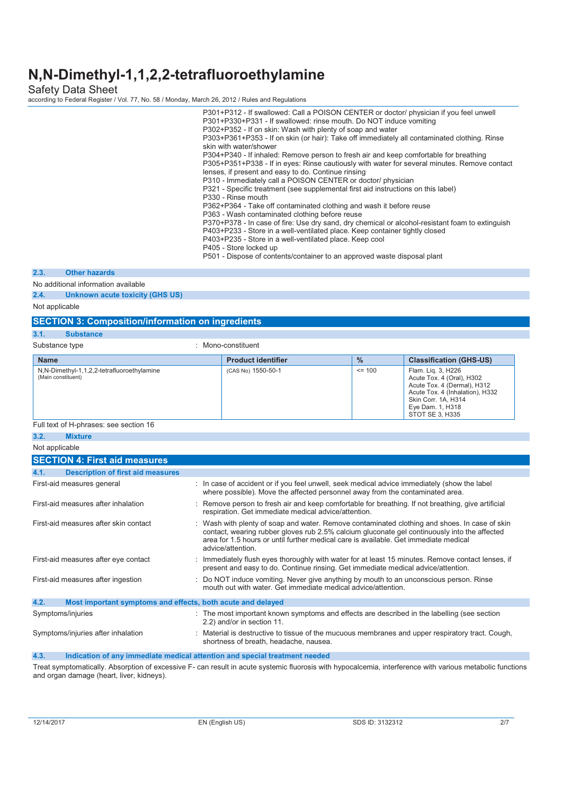Safety Data Sheet according to Federal Register / Vol. 77, No. 58 / Monday, March 26, 2012 / Rules and Regulations

|      |                                     | P301+P312 - If swallowed: Call a POISON CENTER or doctor/ physician if you feel unwell<br>P301+P330+P331 - If swallowed: rinse mouth. Do NOT induce vomiting<br>P302+P352 - If on skin: Wash with plenty of soap and water<br>P303+P361+P353 - If on skin (or hair): Take off immediately all contaminated clothing. Rinse<br>skin with water/shower<br>P304+P340 - If inhaled: Remove person to fresh air and keep comfortable for breathing<br>P305+P351+P338 - If in eyes: Rinse cautiously with water for several minutes. Remove contact<br>lenses, if present and easy to do. Continue rinsing<br>P310 - Immediately call a POISON CENTER or doctor/ physician<br>P321 - Specific treatment (see supplemental first aid instructions on this label)<br>P330 - Rinse mouth<br>P362+P364 - Take off contaminated clothing and wash it before reuse<br>P363 - Wash contaminated clothing before reuse<br>P370+P378 - In case of fire: Use dry sand, dry chemical or alcohol-resistant foam to extinguish<br>P403+P233 - Store in a well-ventilated place. Keep container tightly closed<br>P403+P235 - Store in a well-ventilated place. Keep cool<br>P405 - Store locked up<br>P501 - Dispose of contents/container to an approved waste disposal plant |
|------|-------------------------------------|-------------------------------------------------------------------------------------------------------------------------------------------------------------------------------------------------------------------------------------------------------------------------------------------------------------------------------------------------------------------------------------------------------------------------------------------------------------------------------------------------------------------------------------------------------------------------------------------------------------------------------------------------------------------------------------------------------------------------------------------------------------------------------------------------------------------------------------------------------------------------------------------------------------------------------------------------------------------------------------------------------------------------------------------------------------------------------------------------------------------------------------------------------------------------------------------------------------------------------------------------------------|
| 2.3. | <b>Other hazards</b>                |                                                                                                                                                                                                                                                                                                                                                                                                                                                                                                                                                                                                                                                                                                                                                                                                                                                                                                                                                                                                                                                                                                                                                                                                                                                             |
|      | No additional information available |                                                                                                                                                                                                                                                                                                                                                                                                                                                                                                                                                                                                                                                                                                                                                                                                                                                                                                                                                                                                                                                                                                                                                                                                                                                             |
| 2.4. | Unknown acute toxicity (GHS US)     |                                                                                                                                                                                                                                                                                                                                                                                                                                                                                                                                                                                                                                                                                                                                                                                                                                                                                                                                                                                                                                                                                                                                                                                                                                                             |

**2.4.** Unknown acute to

Not applicable

**3.1.** 

| <b>SECTION 3: Composition/information on ingredients</b>         |                           |               |                                                                                                                                                                                 |  |
|------------------------------------------------------------------|---------------------------|---------------|---------------------------------------------------------------------------------------------------------------------------------------------------------------------------------|--|
| 3.1.<br><b>Substance</b>                                         |                           |               |                                                                                                                                                                                 |  |
| Substance type                                                   | : Mono-constituent        |               |                                                                                                                                                                                 |  |
| <b>Name</b>                                                      | <b>Product identifier</b> | $\frac{9}{6}$ | <b>Classification (GHS-US)</b>                                                                                                                                                  |  |
| N,N-Dimethyl-1,1,2,2-tetrafluoroethylamine<br>(Main constituent) | (CAS No) 1550-50-1        | $\leq$ 100    | Flam. Lig. 3, H226<br>Acute Tox. 4 (Oral), H302<br>Acute Tox. 4 (Dermal), H312<br>Acute Tox. 4 (Inhalation), H332<br>Skin Corr. 1A, H314<br>Eye Dam. 1, H318<br>STOT SE 3. H335 |  |

#### Full text of H-phrases: see section 16

| 3.2.           | <b>Mixture</b>                                              |                                                                                                                                                                                                                                                                                                            |
|----------------|-------------------------------------------------------------|------------------------------------------------------------------------------------------------------------------------------------------------------------------------------------------------------------------------------------------------------------------------------------------------------------|
| Not applicable |                                                             |                                                                                                                                                                                                                                                                                                            |
|                | <b>SECTION 4: First aid measures</b>                        |                                                                                                                                                                                                                                                                                                            |
| 4.1.           | <b>Description of first aid measures</b>                    |                                                                                                                                                                                                                                                                                                            |
|                | First-aid measures general                                  | : In case of accident or if you feel unwell, seek medical advice immediately (show the label<br>where possible). Move the affected personnel away from the contaminated area.                                                                                                                              |
|                | First-aid measures after inhalation                         | : Remove person to fresh air and keep comfortable for breathing. If not breathing, give artificial<br>respiration. Get immediate medical advice/attention.                                                                                                                                                 |
|                | First-aid measures after skin contact                       | : Wash with plenty of soap and water. Remove contaminated clothing and shoes. In case of skin<br>contact, wearing rubber gloves rub 2.5% calcium gluconate gel continuously into the affected<br>area for 1.5 hours or until further medical care is available. Get immediate medical<br>advice/attention. |
|                | First-aid measures after eye contact                        | : Immediately flush eyes thoroughly with water for at least 15 minutes. Remove contact lenses, if<br>present and easy to do. Continue rinsing. Get immediate medical advice/attention.                                                                                                                     |
|                | First-aid measures after ingestion                          | : Do NOT induce vomiting. Never give anything by mouth to an unconscious person. Rinse<br>mouth out with water. Get immediate medical advice/attention.                                                                                                                                                    |
| 4.2.           | Most important symptoms and effects, both acute and delayed |                                                                                                                                                                                                                                                                                                            |
|                | Symptoms/injuries                                           | : The most important known symptoms and effects are described in the labelling (see section<br>2.2) and/or in section 11.                                                                                                                                                                                  |
|                | Symptoms/injuries after inhalation                          | : Material is destructive to tissue of the mucuous membranes and upper respiratory tract. Cough,<br>shortness of breath, headache, nausea.                                                                                                                                                                 |

#### **4.3. Indication of any immediate medical attention and special treatment needed**

Treat symptomatically. Absorption of excessive F- can result in acute systemic fluorosis with hypocalcemia, interference with various metabolic functions and organ damage (heart, liver, kidneys).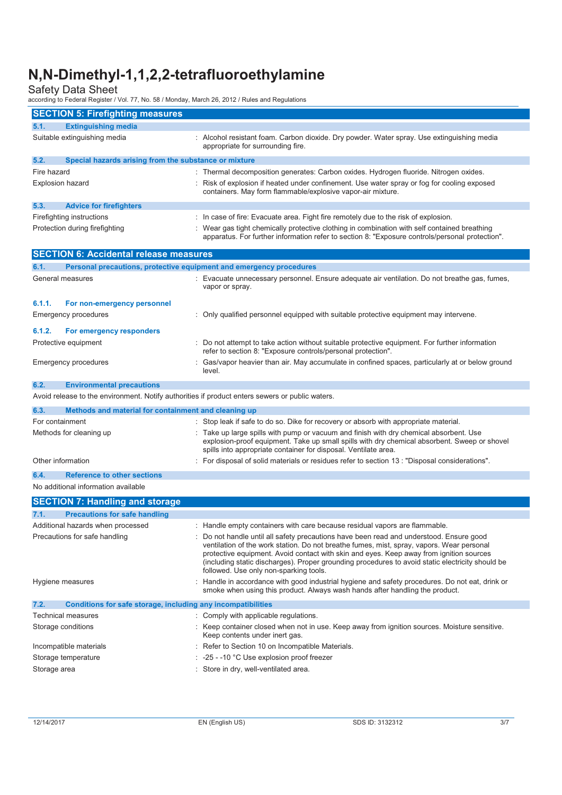| 2010 any to Fourial Register / Vol. 77, No. 00 / Monday, March 20, 2012 / Raics and Regulatorie |                                                                                                                                                                                                                                                                                                                                                                                                                               |
|-------------------------------------------------------------------------------------------------|-------------------------------------------------------------------------------------------------------------------------------------------------------------------------------------------------------------------------------------------------------------------------------------------------------------------------------------------------------------------------------------------------------------------------------|
| <b>SECTION 5: Firefighting measures</b>                                                         |                                                                                                                                                                                                                                                                                                                                                                                                                               |
| 5.1.<br><b>Extinguishing media</b>                                                              |                                                                                                                                                                                                                                                                                                                                                                                                                               |
| Suitable extinguishing media                                                                    | : Alcohol resistant foam. Carbon dioxide. Dry powder. Water spray. Use extinguishing media<br>appropriate for surrounding fire.                                                                                                                                                                                                                                                                                               |
| 5.2.<br>Special hazards arising from the substance or mixture                                   |                                                                                                                                                                                                                                                                                                                                                                                                                               |
| Fire hazard                                                                                     | : Thermal decomposition generates: Carbon oxides. Hydrogen fluoride. Nitrogen oxides.                                                                                                                                                                                                                                                                                                                                         |
| Explosion hazard                                                                                | : Risk of explosion if heated under confinement. Use water spray or fog for cooling exposed<br>containers. May form flammable/explosive vapor-air mixture.                                                                                                                                                                                                                                                                    |
| 5.3.<br><b>Advice for firefighters</b>                                                          |                                                                                                                                                                                                                                                                                                                                                                                                                               |
| Firefighting instructions                                                                       | : In case of fire: Evacuate area. Fight fire remotely due to the risk of explosion.                                                                                                                                                                                                                                                                                                                                           |
| Protection during firefighting                                                                  | : Wear gas tight chemically protective clothing in combination with self contained breathing<br>apparatus. For further information refer to section 8: "Exposure controls/personal protection".                                                                                                                                                                                                                               |
| <b>SECTION 6: Accidental release measures</b>                                                   |                                                                                                                                                                                                                                                                                                                                                                                                                               |
| Personal precautions, protective equipment and emergency procedures<br>6.1.                     |                                                                                                                                                                                                                                                                                                                                                                                                                               |
| General measures                                                                                | : Evacuate unnecessary personnel. Ensure adequate air ventilation. Do not breathe gas, fumes,<br>vapor or spray.                                                                                                                                                                                                                                                                                                              |
| 6.1.1.<br>For non-emergency personnel                                                           |                                                                                                                                                                                                                                                                                                                                                                                                                               |
| <b>Emergency procedures</b>                                                                     | : Only qualified personnel equipped with suitable protective equipment may intervene.                                                                                                                                                                                                                                                                                                                                         |
| 6.1.2.<br>For emergency responders                                                              |                                                                                                                                                                                                                                                                                                                                                                                                                               |
| Protective equipment                                                                            | : Do not attempt to take action without suitable protective equipment. For further information<br>refer to section 8: "Exposure controls/personal protection".                                                                                                                                                                                                                                                                |
| Emergency procedures                                                                            | Gas/vapor heavier than air. May accumulate in confined spaces, particularly at or below ground<br>level.                                                                                                                                                                                                                                                                                                                      |
| 6.2.<br><b>Environmental precautions</b>                                                        |                                                                                                                                                                                                                                                                                                                                                                                                                               |
| Avoid release to the environment. Notify authorities if product enters sewers or public waters. |                                                                                                                                                                                                                                                                                                                                                                                                                               |
| Methods and material for containment and cleaning up<br>6.3.                                    |                                                                                                                                                                                                                                                                                                                                                                                                                               |
| For containment                                                                                 | Stop leak if safe to do so. Dike for recovery or absorb with appropriate material.                                                                                                                                                                                                                                                                                                                                            |
| Methods for cleaning up                                                                         | : Take up large spills with pump or vacuum and finish with dry chemical absorbent. Use<br>explosion-proof equipment. Take up small spills with dry chemical absorbent. Sweep or shovel<br>spills into appropriate container for disposal. Ventilate area.                                                                                                                                                                     |
| Other information                                                                               | : For disposal of solid materials or residues refer to section 13 : "Disposal considerations".                                                                                                                                                                                                                                                                                                                                |
| <b>Reference to other sections</b><br>6.4.                                                      |                                                                                                                                                                                                                                                                                                                                                                                                                               |
| No additional information available                                                             |                                                                                                                                                                                                                                                                                                                                                                                                                               |
| <b>SECTION 7: Handling and storage</b>                                                          |                                                                                                                                                                                                                                                                                                                                                                                                                               |
| <b>Precautions for safe handling</b><br>7.1.                                                    |                                                                                                                                                                                                                                                                                                                                                                                                                               |
| Additional hazards when processed                                                               | : Handle empty containers with care because residual vapors are flammable.                                                                                                                                                                                                                                                                                                                                                    |
| Precautions for safe handling                                                                   | : Do not handle until all safety precautions have been read and understood. Ensure good<br>ventilation of the work station. Do not breathe fumes, mist, spray, vapors. Wear personal<br>protective equipment. Avoid contact with skin and eyes. Keep away from ignition sources<br>(including static discharges). Proper grounding procedures to avoid static electricity should be<br>followed. Use only non-sparking tools. |
| Hygiene measures                                                                                | : Handle in accordance with good industrial hygiene and safety procedures. Do not eat, drink or<br>smoke when using this product. Always wash hands after handling the product.                                                                                                                                                                                                                                               |
| Conditions for safe storage, including any incompatibilities<br>7.2.                            |                                                                                                                                                                                                                                                                                                                                                                                                                               |
| Technical measures                                                                              | : Comply with applicable regulations.                                                                                                                                                                                                                                                                                                                                                                                         |
| Storage conditions                                                                              | : Keep container closed when not in use. Keep away from ignition sources. Moisture sensitive.<br>Keep contents under inert gas.                                                                                                                                                                                                                                                                                               |
| Incompatible materials                                                                          | : Refer to Section 10 on Incompatible Materials.                                                                                                                                                                                                                                                                                                                                                                              |
| Storage temperature                                                                             | $\sim$ -25 - -10 °C Use explosion proof freezer                                                                                                                                                                                                                                                                                                                                                                               |
| Storage area                                                                                    | : Store in dry, well-ventilated area.                                                                                                                                                                                                                                                                                                                                                                                         |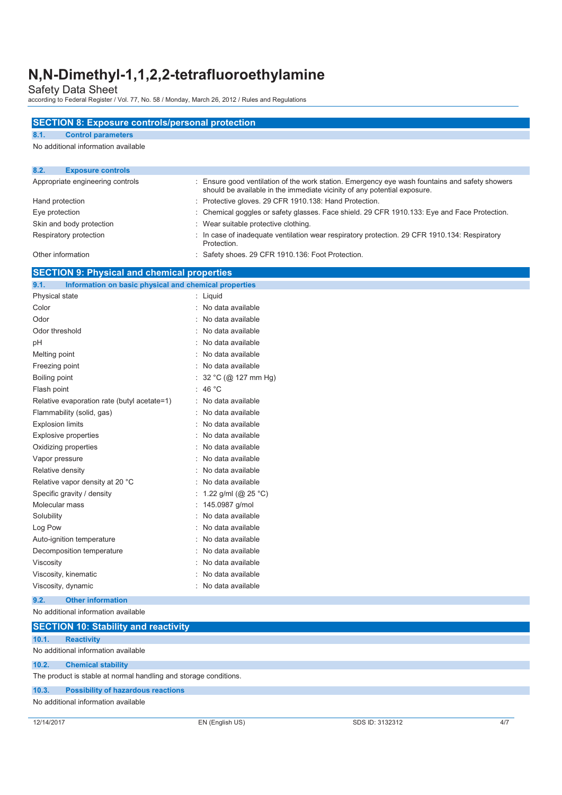| <b>SECTION 8: Exposure controls/personal protection</b>          |                                                        |                                                                                                                                                                          |     |
|------------------------------------------------------------------|--------------------------------------------------------|--------------------------------------------------------------------------------------------------------------------------------------------------------------------------|-----|
| 8.1.<br><b>Control parameters</b>                                |                                                        |                                                                                                                                                                          |     |
| No additional information available                              |                                                        |                                                                                                                                                                          |     |
| 8.2.<br><b>Exposure controls</b>                                 |                                                        |                                                                                                                                                                          |     |
| Appropriate engineering controls                                 | ÷                                                      | Ensure good ventilation of the work station. Emergency eye wash fountains and safety showers<br>should be available in the immediate vicinity of any potential exposure. |     |
| Hand protection                                                  | : Protective gloves. 29 CFR 1910.138: Hand Protection. |                                                                                                                                                                          |     |
| Eye protection                                                   |                                                        | Chemical goggles or safety glasses. Face shield. 29 CFR 1910.133: Eye and Face Protection.                                                                               |     |
| Skin and body protection                                         | Wear suitable protective clothing.                     |                                                                                                                                                                          |     |
| Respiratory protection                                           | Protection.                                            | In case of inadequate ventilation wear respiratory protection. 29 CFR 1910.134: Respiratory                                                                              |     |
| Other information                                                | : Safety shoes. 29 CFR 1910.136: Foot Protection.      |                                                                                                                                                                          |     |
| <b>SECTION 9: Physical and chemical properties</b>               |                                                        |                                                                                                                                                                          |     |
| 9.1.<br>Information on basic physical and chemical properties    |                                                        |                                                                                                                                                                          |     |
| Physical state                                                   | : Liquid                                               |                                                                                                                                                                          |     |
| Color                                                            | : No data available                                    |                                                                                                                                                                          |     |
| Odor                                                             | : No data available                                    |                                                                                                                                                                          |     |
| Odor threshold                                                   | No data available                                      |                                                                                                                                                                          |     |
| рH                                                               | No data available                                      |                                                                                                                                                                          |     |
| Melting point                                                    | : No data available                                    |                                                                                                                                                                          |     |
| Freezing point                                                   | No data available                                      |                                                                                                                                                                          |     |
| Boiling point                                                    | 32 °C (@ 127 mm Hg)                                    |                                                                                                                                                                          |     |
| Flash point                                                      | : 46 °C                                                |                                                                                                                                                                          |     |
| Relative evaporation rate (butyl acetate=1)                      | : No data available                                    |                                                                                                                                                                          |     |
| Flammability (solid, gas)                                        | No data available                                      |                                                                                                                                                                          |     |
| <b>Explosion limits</b>                                          | : No data available                                    |                                                                                                                                                                          |     |
| Explosive properties                                             | : No data available                                    |                                                                                                                                                                          |     |
| Oxidizing properties                                             | : No data available                                    |                                                                                                                                                                          |     |
| Vapor pressure                                                   | : No data available                                    |                                                                                                                                                                          |     |
| Relative density                                                 | : No data available                                    |                                                                                                                                                                          |     |
| Relative vapor density at 20 °C                                  | No data available                                      |                                                                                                                                                                          |     |
| Specific gravity / density                                       | 1.22 g/ml (@ 25 °C)                                    |                                                                                                                                                                          |     |
| Molecular mass                                                   | : 145.0987 g/mol                                       |                                                                                                                                                                          |     |
| Solubility                                                       | No data available                                      |                                                                                                                                                                          |     |
| Log Pow                                                          | : No data available                                    |                                                                                                                                                                          |     |
| Auto-ignition temperature                                        | No data available                                      |                                                                                                                                                                          |     |
| Decomposition temperature                                        | No data available                                      |                                                                                                                                                                          |     |
| Viscosity                                                        | No data available                                      |                                                                                                                                                                          |     |
| Viscosity, kinematic                                             | No data available                                      |                                                                                                                                                                          |     |
| Viscosity, dynamic                                               | No data available                                      |                                                                                                                                                                          |     |
| 9.2.<br><b>Other information</b>                                 |                                                        |                                                                                                                                                                          |     |
| No additional information available                              |                                                        |                                                                                                                                                                          |     |
| <b>SECTION 10: Stability and reactivity</b>                      |                                                        |                                                                                                                                                                          |     |
| 10.1.<br><b>Reactivity</b>                                       |                                                        |                                                                                                                                                                          |     |
| No additional information available                              |                                                        |                                                                                                                                                                          |     |
| 10.2.<br><b>Chemical stability</b>                               |                                                        |                                                                                                                                                                          |     |
| The product is stable at normal handling and storage conditions. |                                                        |                                                                                                                                                                          |     |
| 10.3.<br><b>Possibility of hazardous reactions</b>               |                                                        |                                                                                                                                                                          |     |
| No additional information available                              |                                                        |                                                                                                                                                                          |     |
|                                                                  |                                                        |                                                                                                                                                                          |     |
| 12/14/2017                                                       | EN (English US)                                        | SDS ID: 3132312                                                                                                                                                          | 4/7 |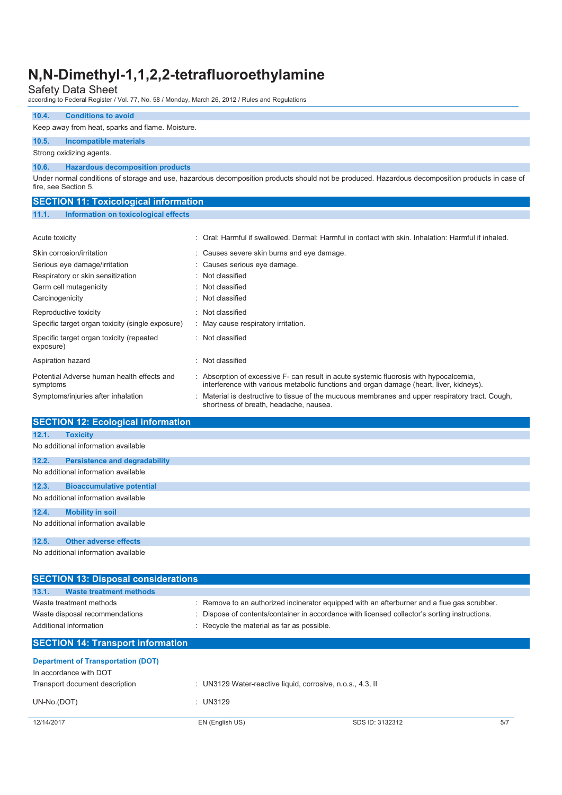| 10.4.                                        | <b>Conditions to avoid</b>                       |                                                                                                                                                  |  |  |
|----------------------------------------------|--------------------------------------------------|--------------------------------------------------------------------------------------------------------------------------------------------------|--|--|
|                                              | Keep away from heat, sparks and flame. Moisture. |                                                                                                                                                  |  |  |
| 10.5.                                        | Incompatible materials                           |                                                                                                                                                  |  |  |
|                                              | Strong oxidizing agents.                         |                                                                                                                                                  |  |  |
| 10.6.                                        | <b>Hazardous decomposition products</b>          |                                                                                                                                                  |  |  |
|                                              | fire, see Section 5.                             | Under normal conditions of storage and use, hazardous decomposition products should not be produced. Hazardous decomposition products in case of |  |  |
| <b>SECTION 11: Toxicological information</b> |                                                  |                                                                                                                                                  |  |  |
| 11.1.                                        | Information on toxicological effects             |                                                                                                                                                  |  |  |
|                                              |                                                  |                                                                                                                                                  |  |  |
| Acute toxicity                               |                                                  | : Oral: Harmful if swallowed. Dermal: Harmful in contact with skin. Inhalation: Harmful if inhaled.                                              |  |  |
|                                              | Clim compositor limitation                       | . Causes severe skip burge and ave demons                                                                                                        |  |  |

| Skin corrosion/irritation                              | : Causes severe skin burns and eye damage.                                                                                                                                        |
|--------------------------------------------------------|-----------------------------------------------------------------------------------------------------------------------------------------------------------------------------------|
| Serious eye damage/irritation                          | : Causes serious eye damage.                                                                                                                                                      |
| Respiratory or skin sensitization                      | : Not classified                                                                                                                                                                  |
| Germ cell mutagenicity                                 | : Not classified                                                                                                                                                                  |
| Carcinogenicity                                        | : Not classified                                                                                                                                                                  |
| Reproductive toxicity                                  | : Not classified                                                                                                                                                                  |
| Specific target organ toxicity (single exposure)       | : May cause respiratory irritation.                                                                                                                                               |
| Specific target organ toxicity (repeated<br>exposure)  | : Not classified                                                                                                                                                                  |
| Aspiration hazard                                      | : Not classified                                                                                                                                                                  |
| Potential Adverse human health effects and<br>symptoms | : Absorption of excessive F- can result in acute systemic fluorosis with hypocalcemia,<br>interference with various metabolic functions and organ damage (heart, liver, kidneys). |
| Symptoms/injuries after inhalation                     | : Material is destructive to tissue of the mucuous membranes and upper respiratory tract. Cough,<br>shortness of breath, headache, nausea.                                        |

|                                     | <b>SECTION 12: Ecological information</b> |  |
|-------------------------------------|-------------------------------------------|--|
|                                     |                                           |  |
| 12.1.                               | <b>Toxicity</b>                           |  |
|                                     | No additional information available       |  |
|                                     |                                           |  |
| 12.2.                               | <b>Persistence and degradability</b>      |  |
|                                     |                                           |  |
|                                     | No additional information available       |  |
|                                     |                                           |  |
| 12.3.                               | <b>Bioaccumulative potential</b>          |  |
|                                     |                                           |  |
| No additional information available |                                           |  |
|                                     |                                           |  |
| 12.4.                               | <b>Mobility in soil</b>                   |  |
|                                     |                                           |  |
|                                     | No additional information available       |  |
|                                     |                                           |  |
| 12.5.                               | <b>Other adverse effects</b>              |  |
|                                     |                                           |  |
|                                     | No additional information available       |  |
|                                     |                                           |  |

| <b>SECTION 13: Disposal considerations</b>                                                                      |                                                            |                                                                                               |  |
|-----------------------------------------------------------------------------------------------------------------|------------------------------------------------------------|-----------------------------------------------------------------------------------------------|--|
| <b>Waste treatment methods</b><br>13.1.                                                                         |                                                            |                                                                                               |  |
| Waste treatment methods                                                                                         |                                                            | : Remove to an authorized incinerator equipped with an afterburner and a flue gas scrubber.   |  |
| Waste disposal recommendations                                                                                  |                                                            | : Dispose of contents/container in accordance with licensed collector's sorting instructions. |  |
| Additional information                                                                                          | : Recycle the material as far as possible.                 |                                                                                               |  |
| <b>SECTION 14: Transport information</b><br><b>Department of Transportation (DOT)</b><br>In accordance with DOT |                                                            |                                                                                               |  |
| Transport document description                                                                                  | : UN3129 Water-reactive liquid, corrosive, n.o.s., 4.3, II |                                                                                               |  |
| UN-No.(DOT)                                                                                                     | $:$ UN3129                                                 |                                                                                               |  |
| 12/14/2017                                                                                                      | EN (English US)                                            | 5/7<br>SDS ID: 3132312                                                                        |  |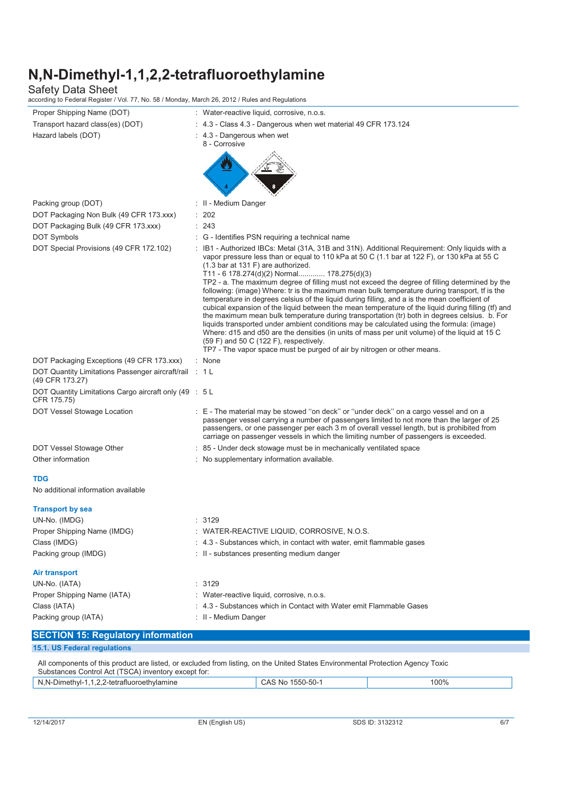| Proper Shipping Name (DOT)                                                | : Water-reactive liquid, corrosive, n.o.s.                                                                                                                                                                                                                                                                                                                                                                                                                                                                                                                                                                                                                                                                                                                                                                                                                                                                                                                                                                                                                                                                                        |
|---------------------------------------------------------------------------|-----------------------------------------------------------------------------------------------------------------------------------------------------------------------------------------------------------------------------------------------------------------------------------------------------------------------------------------------------------------------------------------------------------------------------------------------------------------------------------------------------------------------------------------------------------------------------------------------------------------------------------------------------------------------------------------------------------------------------------------------------------------------------------------------------------------------------------------------------------------------------------------------------------------------------------------------------------------------------------------------------------------------------------------------------------------------------------------------------------------------------------|
| Transport hazard class(es) (DOT)                                          | $: 4.3$ - Class 4.3 - Dangerous when wet material 49 CFR 173.124                                                                                                                                                                                                                                                                                                                                                                                                                                                                                                                                                                                                                                                                                                                                                                                                                                                                                                                                                                                                                                                                  |
| Hazard labels (DOT)                                                       | : 4.3 - Dangerous when wet<br>8 - Corrosive                                                                                                                                                                                                                                                                                                                                                                                                                                                                                                                                                                                                                                                                                                                                                                                                                                                                                                                                                                                                                                                                                       |
|                                                                           |                                                                                                                                                                                                                                                                                                                                                                                                                                                                                                                                                                                                                                                                                                                                                                                                                                                                                                                                                                                                                                                                                                                                   |
| Packing group (DOT)                                                       | : II - Medium Danger                                                                                                                                                                                                                                                                                                                                                                                                                                                                                                                                                                                                                                                                                                                                                                                                                                                                                                                                                                                                                                                                                                              |
| DOT Packaging Non Bulk (49 CFR 173.xxx)                                   | : 202                                                                                                                                                                                                                                                                                                                                                                                                                                                                                                                                                                                                                                                                                                                                                                                                                                                                                                                                                                                                                                                                                                                             |
| DOT Packaging Bulk (49 CFR 173.xxx)                                       | : 243                                                                                                                                                                                                                                                                                                                                                                                                                                                                                                                                                                                                                                                                                                                                                                                                                                                                                                                                                                                                                                                                                                                             |
| <b>DOT Symbols</b>                                                        | : G - Identifies PSN requiring a technical name                                                                                                                                                                                                                                                                                                                                                                                                                                                                                                                                                                                                                                                                                                                                                                                                                                                                                                                                                                                                                                                                                   |
| DOT Special Provisions (49 CFR 172.102)                                   | : IB1 - Authorized IBCs: Metal (31A, 31B and 31N). Additional Requirement: Only liquids with a<br>vapor pressure less than or equal to 110 kPa at 50 C (1.1 bar at 122 F), or 130 kPa at 55 C<br>$(1.3 \text{ bar at } 131 \text{ F})$ are authorized.<br>T11 - 6 178.274(d)(2) Normal 178.275(d)(3)<br>TP2 - a. The maximum degree of filling must not exceed the degree of filling determined by the<br>following: (image) Where: tr is the maximum mean bulk temperature during transport, tf is the<br>temperature in degrees celsius of the liquid during filling, and a is the mean coefficient of<br>cubical expansion of the liquid between the mean temperature of the liquid during filling (tf) and<br>the maximum mean bulk temperature during transportation (tr) both in degrees celsius. b. For<br>liquids transported under ambient conditions may be calculated using the formula: (image)<br>Where: d15 and d50 are the densities (in units of mass per unit volume) of the liquid at 15 C<br>(59 F) and 50 C (122 F), respectively.<br>TP7 - The vapor space must be purged of air by nitrogen or other means. |
| DOT Packaging Exceptions (49 CFR 173.xxx)                                 | : None                                                                                                                                                                                                                                                                                                                                                                                                                                                                                                                                                                                                                                                                                                                                                                                                                                                                                                                                                                                                                                                                                                                            |
| DOT Quantity Limitations Passenger aircraft/rail : 1 L<br>(49 CFR 173.27) |                                                                                                                                                                                                                                                                                                                                                                                                                                                                                                                                                                                                                                                                                                                                                                                                                                                                                                                                                                                                                                                                                                                                   |
| DOT Quantity Limitations Cargo aircraft only (49 : 5 L<br>CFR 175.75)     |                                                                                                                                                                                                                                                                                                                                                                                                                                                                                                                                                                                                                                                                                                                                                                                                                                                                                                                                                                                                                                                                                                                                   |
| DOT Vessel Stowage Location                                               | : E - The material may be stowed "on deck" or "under deck" on a cargo vessel and on a<br>passenger vessel carrying a number of passengers limited to not more than the larger of 25<br>passengers, or one passenger per each 3 m of overall vessel length, but is prohibited from<br>carriage on passenger vessels in which the limiting number of passengers is exceeded.                                                                                                                                                                                                                                                                                                                                                                                                                                                                                                                                                                                                                                                                                                                                                        |
| DOT Vessel Stowage Other                                                  | : 85 - Under deck stowage must be in mechanically ventilated space                                                                                                                                                                                                                                                                                                                                                                                                                                                                                                                                                                                                                                                                                                                                                                                                                                                                                                                                                                                                                                                                |
| Other information                                                         | : No supplementary information available.                                                                                                                                                                                                                                                                                                                                                                                                                                                                                                                                                                                                                                                                                                                                                                                                                                                                                                                                                                                                                                                                                         |
| <b>TDG</b>                                                                |                                                                                                                                                                                                                                                                                                                                                                                                                                                                                                                                                                                                                                                                                                                                                                                                                                                                                                                                                                                                                                                                                                                                   |
| No additional information available                                       |                                                                                                                                                                                                                                                                                                                                                                                                                                                                                                                                                                                                                                                                                                                                                                                                                                                                                                                                                                                                                                                                                                                                   |
| <b>Transport by sea</b>                                                   |                                                                                                                                                                                                                                                                                                                                                                                                                                                                                                                                                                                                                                                                                                                                                                                                                                                                                                                                                                                                                                                                                                                                   |
| UN-No. (IMDG)                                                             | : 3129                                                                                                                                                                                                                                                                                                                                                                                                                                                                                                                                                                                                                                                                                                                                                                                                                                                                                                                                                                                                                                                                                                                            |
| Proper Shipping Name (IMDG)                                               | : WATER-REACTIVE LIQUID, CORROSIVE, N.O.S.                                                                                                                                                                                                                                                                                                                                                                                                                                                                                                                                                                                                                                                                                                                                                                                                                                                                                                                                                                                                                                                                                        |
| Class (IMDG)                                                              | : 4.3 - Substances which, in contact with water, emit flammable gases                                                                                                                                                                                                                                                                                                                                                                                                                                                                                                                                                                                                                                                                                                                                                                                                                                                                                                                                                                                                                                                             |
| Packing group (IMDG)                                                      | : II - substances presenting medium danger                                                                                                                                                                                                                                                                                                                                                                                                                                                                                                                                                                                                                                                                                                                                                                                                                                                                                                                                                                                                                                                                                        |
| Air transport                                                             |                                                                                                                                                                                                                                                                                                                                                                                                                                                                                                                                                                                                                                                                                                                                                                                                                                                                                                                                                                                                                                                                                                                                   |
| UN-No. (IATA)                                                             | : 3129                                                                                                                                                                                                                                                                                                                                                                                                                                                                                                                                                                                                                                                                                                                                                                                                                                                                                                                                                                                                                                                                                                                            |
| Proper Shipping Name (IATA)                                               | : Water-reactive liquid, corrosive, n.o.s.                                                                                                                                                                                                                                                                                                                                                                                                                                                                                                                                                                                                                                                                                                                                                                                                                                                                                                                                                                                                                                                                                        |
| Class (IATA)                                                              | : 4.3 - Substances which in Contact with Water emit Flammable Gases                                                                                                                                                                                                                                                                                                                                                                                                                                                                                                                                                                                                                                                                                                                                                                                                                                                                                                                                                                                                                                                               |
| Packing group (IATA)                                                      | : II - Medium Danger                                                                                                                                                                                                                                                                                                                                                                                                                                                                                                                                                                                                                                                                                                                                                                                                                                                                                                                                                                                                                                                                                                              |
| <b>SECTION 15: Regulatory information</b>                                 |                                                                                                                                                                                                                                                                                                                                                                                                                                                                                                                                                                                                                                                                                                                                                                                                                                                                                                                                                                                                                                                                                                                                   |
| 15.1. US Federal regulations                                              |                                                                                                                                                                                                                                                                                                                                                                                                                                                                                                                                                                                                                                                                                                                                                                                                                                                                                                                                                                                                                                                                                                                                   |
| Substances Control Act (TSCA) inventory except for:                       | All components of this product are listed, or excluded from listing, on the United States Environmental Protection Agency Toxic                                                                                                                                                                                                                                                                                                                                                                                                                                                                                                                                                                                                                                                                                                                                                                                                                                                                                                                                                                                                   |
|                                                                           |                                                                                                                                                                                                                                                                                                                                                                                                                                                                                                                                                                                                                                                                                                                                                                                                                                                                                                                                                                                                                                                                                                                                   |